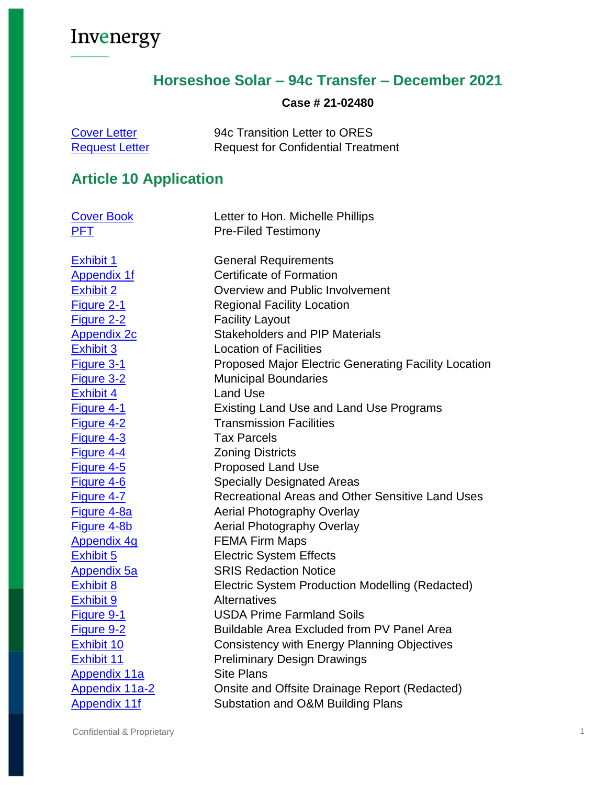### **Horseshoe Solar – 94c Transfer – December 2021**

#### **Case # 21-02480**

| <b>Cover Letter</b>   | 94c Transition Letter to ORES             |
|-----------------------|-------------------------------------------|
| <b>Request Letter</b> | <b>Request for Confidential Treatment</b> |

## **Article 10 Application**

| <b>Cover Book</b>     | Letter to Hon. Michelle Phillips                            |
|-----------------------|-------------------------------------------------------------|
| <b>PFT</b>            | <b>Pre-Filed Testimony</b>                                  |
|                       |                                                             |
| <b>Exhibit 1</b>      | <b>General Requirements</b>                                 |
| <b>Appendix 1f</b>    | <b>Certificate of Formation</b>                             |
| <b>Exhibit 2</b>      | Overview and Public Involvement                             |
| Figure 2-1            | <b>Regional Facility Location</b>                           |
| Figure 2-2            | <b>Facility Layout</b>                                      |
| <b>Appendix 2c</b>    | <b>Stakeholders and PIP Materials</b>                       |
| Exhibit 3             | <b>Location of Facilities</b>                               |
| Figure 3-1            | <b>Proposed Major Electric Generating Facility Location</b> |
| Figure 3-2            | <b>Municipal Boundaries</b>                                 |
| <b>Exhibit 4</b>      | <b>Land Use</b>                                             |
| <b>Figure 4-1</b>     | <b>Existing Land Use and Land Use Programs</b>              |
| Figure 4-2            | <b>Transmission Facilities</b>                              |
| Figure 4-3            | <b>Tax Parcels</b>                                          |
| Figure 4-4            | <b>Zoning Districts</b>                                     |
| Figure 4-5            | Proposed Land Use                                           |
| Figure 4-6            | <b>Specially Designated Areas</b>                           |
| Figure 4-7            | Recreational Areas and Other Sensitive Land Uses            |
| Figure 4-8a           | <b>Aerial Photography Overlay</b>                           |
| Figure 4-8b           | Aerial Photography Overlay                                  |
| <b>Appendix 4g</b>    | <b>FEMA Firm Maps</b>                                       |
| Exhibit 5             | <b>Electric System Effects</b>                              |
| <b>Appendix 5a</b>    | <b>SRIS Redaction Notice</b>                                |
| <b>Exhibit 8</b>      | Electric System Production Modelling (Redacted)             |
| <b>Exhibit 9</b>      | <b>Alternatives</b>                                         |
| Figure 9-1            | <b>USDA Prime Farmland Soils</b>                            |
| Figure 9-2            | <b>Buildable Area Excluded from PV Panel Area</b>           |
| Exhibit 10            | Consistency with Energy Planning Objectives                 |
| <b>Exhibit 11</b>     | <b>Preliminary Design Drawings</b>                          |
| <b>Appendix 11a</b>   | <b>Site Plans</b>                                           |
| <b>Appendix 11a-2</b> | Onsite and Offsite Drainage Report (Redacted)               |
| <b>Appendix 11f</b>   | Substation and O&M Building Plans                           |

Confidential & Proprietary 1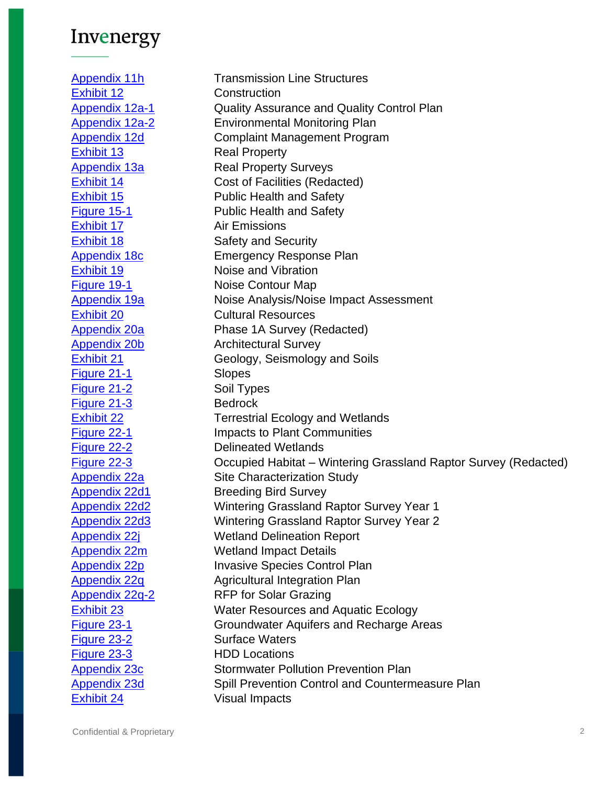[Appendix 11h](https://www.dropbox.com/s/dql56g5qgsss8vd/hss_11h_interconnection_line_structures.pdf?dl=0) Transmission Line Structures [Exhibit 12](https://www.dropbox.com/s/z7j4uo5y5z2sg9y/hss_12_construction.pdf?dl=0) Construction [Appendix 12a-1](https://www.dropbox.com/s/kggsav9xgnuwnls/hss_12a-1_qaqc_plan.pdf?dl=0) Cuality Assurance and Quality Control Plan [Appendix 12a-2](https://www.dropbox.com/s/xh2rk25x5mzgmlw/hss_12a-2_environmental_monitoring_plan.pdf?dl=0) Environmental Monitoring Plan [Appendix 12d](https://www.dropbox.com/s/v1i4q2f78xmp5zm/hss_12d_complaint_management_plan.pdf?dl=0) Complaint Management Program [Exhibit 13](https://www.dropbox.com/s/8ylm58ladofo2xw/hss_13_real_property.pdf?dl=0) Real Property [Appendix 13a](https://www.dropbox.com/s/jq1660xu5e8lbza/hss_13a_Real%20Property%20Surveys.pdf?dl=0) Real Property Surveys [Exhibit 14](https://www.dropbox.com/s/g3a3vkbg1fqw2ap/hss_14_cost_of_facilities_REDACTED.pdf?dl=0) Cost of Facilities (Redacted) [Exhibit 15](https://www.dropbox.com/s/6w5hbgnlnfwvf2c/hss_15_public_health_and_safety.pdf?dl=0) Public Health and Safety [Figure 15-1](https://www.dropbox.com/s/9vk2dq2wyvucchg/hss_15-Figure%2015-1_Public%20Health%20and%20Safety.pdf?dl=0) Public Health and Safety [Exhibit 17](https://www.dropbox.com/s/n3g4j3ruvkjz0j8/hss_17_air_emissions.pdf?dl=0) Air Emissions [Exhibit 18](https://www.dropbox.com/s/yjfz5tf1kvpclz8/hss_18_safety_and_security.pdf?dl=0) Safety and Security [Appendix 18c](https://www.dropbox.com/s/u72j70wy55eenet/hss_18c_emergency_response_plan.pdf?dl=0) **Emergency Response Plan** [Exhibit 19](https://www.dropbox.com/s/jyq28i56t89470q/hss_19_noise_and_vibration.pdf?dl=0) Noise and Vibration [Figure 19-1](https://www.dropbox.com/s/62qik0nffc6e7oo/hss_19-Figure%2019-1_Noise%20Contour%20Map.pdf?dl=0) Noise Contour Map [Appendix 19a](https://www.dropbox.com/s/04mo08qgysr7mk1/hss_19a_noise_analysis.pdf?dl=0) **Noise Analysis/Noise Impact Assessment** [Exhibit 20](https://www.dropbox.com/s/58l475kmp5y9lsr/hss_20_cultural_resources.pdf?dl=0) Cultural Resources [Appendix 20a](https://www.dropbox.com/s/vvge86c2e4bx9ri/hss_20a_expanded_phase_1a_survey_REDACTE.pdf?dl=0) Phase 1A Survey (Redacted) [Appendix 20b](https://www.dropbox.com/s/vyhn0r7uzhryko8/hss_20b_architectural_survey.pdf?dl=0) Architectural Survey [Exhibit 21](https://www.dropbox.com/s/x8k1ftdpecf6r1c/hss_21_geology_seismology_soils.pdf?dl=0) Geology, Seismology and Soils [Figure 21-1](https://www.dropbox.com/s/qi6j4kz9mtk2smv/hss_21-Figure%2021-1_Slope.pdf?dl=0) Slopes [Figure 21-2](https://www.dropbox.com/s/cgcha29kpsrvgnv/hss_21-Figure%2021-2_Soil%20types.pdf?dl=0) Soil Types [Figure 21-3](https://www.dropbox.com/s/l3av1rk9mf40ugt/hss_21-Figure%2021-3_Bedrock.pdf?dl=0) Bedrock **[Exhibit 22](https://www.dropbox.com/s/li355ppy7yf0f5n/hss_22_terrestrial_ecology_and_wetlands.pdf?dl=0) Terrestrial Ecology and Wetlands** [Figure 22-1](https://www.dropbox.com/s/76lh0fwoiy48k5a/hss_22-Figure%2022-1_Impacts%20to%20Plant%20Communities.pdf?dl=0) **Impacts to Plant Communities** [Figure 22-2](https://www.dropbox.com/s/j4yp1u1k9xl759i/hss_22-Figure%2022-2_Delineated%20Wetlands.pdf?dl=0) Delineated Wetlands [Figure 22-3](https://www.dropbox.com/s/vxd6u2cd8pm994i/hss_22-fig22-3_occupied%20wgr%20habitat_REDACTION.pdf?dl=0) Occupied Habitat – Wintering Grassland Raptor Survey (Redacted) [Appendix 22a](https://www.dropbox.com/s/5c863x9jhyki9ic/hss_22a_site_characterization_study.pdf?dl=0) Site Characterization Study [Appendix 22d1](https://www.dropbox.com/s/7vj7eh6fkwvfd9n/hss_22d1_breeding_bird_survey.pdf?dl=0) Breeding Bird Survey [Appendix 22d2](https://www.dropbox.com/s/kaoh8wfk5s6bwym/hss_22d2_wgr_survey_year_1_REDACTED.pdf?dl=0) Wintering Grassland Raptor Survey Year 1 [Appendix 22d3](https://www.dropbox.com/s/c707c8tbl35yy5u/hss_22d3_wgr_survey_year_2_REDACTED.pdf?dl=0) Wintering Grassland Raptor Survey Year 2 [Appendix 22j](https://www.dropbox.com/s/rjmge1bo7zllrjl/hss_22j_wetland%20delineation%20report.pdf?dl=0) Wetland Delineation Report [Appendix 22m](https://www.dropbox.com/s/knzgqcolur1yzrm/hss_22m_wetland%20impact%20details.pdf?dl=0) Wetland Impact Details [Appendix 22p](https://www.dropbox.com/s/oastqozwrij2iel/hss_22p_invasive_species_control_plan.pdf?dl=0) Invasive Species Control Plan [Appendix 22q](https://www.dropbox.com/s/nj3f9ahgsekxywv/hss_22q_agricultural_integration_plan.pdf?dl=0) Agricultural Integration Plan [Appendix 22q-2](https://www.dropbox.com/s/6b4r31l1ftz7tdq/hss_22q-2_RFP%20for%20solar%20grazing.pdf?dl=0) RFP for Solar Grazing **[Exhibit 23](https://www.dropbox.com/s/c88honak6y14gp8/hss_23_water_resources_and_aquatic_ecology.pdf?dl=0)** Water Resources and Aquatic Ecology [Figure 23-1](https://www.dropbox.com/s/7roexwk9zf0wkei/hss_23-Figure%2023-1_Groundwater%20Aquifers%20and%20Recharge%20Areas.pdf?dl=0) Groundwater Aquifers and Recharge Areas [Figure 23-2](https://www.dropbox.com/s/8hcxzf68p0gsbfs/hss_23-Figure%2023-2_Surface%20Waters.pdf?dl=0) Surface Waters [Figure 23-3](https://www.dropbox.com/s/x1b74o3zo2dzmmr/hss_23-Figure%2023-3_HDD%20Locations.pdf?dl=0) HDD Locations [Appendix 23c](https://www.dropbox.com/s/emc5vi8hs2zupdn/hss_23c_preliminary_swppp.pdf?dl=0) Stormwater Pollution Prevention Plan [Appendix 23d](https://www.dropbox.com/s/b0c8nr77xbd4s93/hss_23d_spcc_plan.pdf?dl=0) Spill Prevention Control and Countermeasure Plan [Exhibit 24](https://www.dropbox.com/s/frfxqgo0nkwhhuv/hss_24_visual_impacts.pdf?dl=0) Visual Impacts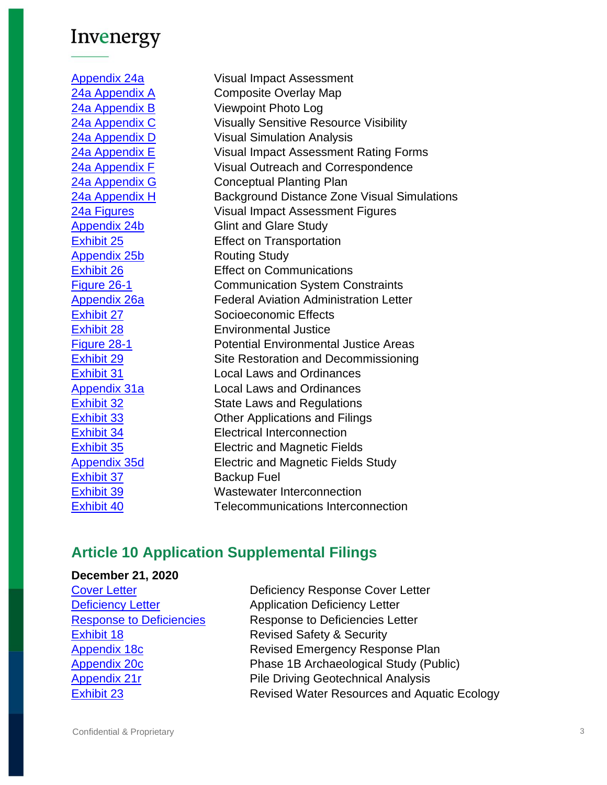[Appendix 24a](https://www.dropbox.com/s/k8lfh5qmg5rzqns/hss_24a_VIA.pdf?dl=0) Visual Impact Assessment [24a Appendix A](https://www.dropbox.com/s/6m51zisfihpctvd/hss_24a_VIA_Appendix%20A_Composite%20Overlay%20Map.pdf?dl=0) Composite Overlay Map [24a Appendix B](https://www.dropbox.com/s/wqbxuryj0coinhh/hss_24a_VIA_Appendix%20B_Viewpoint%20Photolog.pdf?dl=0) Viewpoint Photo Log [24a Appendix C](https://www.dropbox.com/s/gjmoxmkc51xq01n/hss_24a_VIA_Appendix%20C_Visually%20Sensitve%20Resource%20Visibility.pdf?dl=0) Visually Sensitive Resource Visibility [24a Appendix D](https://www.dropbox.com/s/yv54bh6t914ggle/19021_Horseshoe%20Solar_VIA_Appendix%20D_Visual%20Simulation%20Analysis.pdf?dl=0) Visual Simulation Analysis [24a Appendix E](https://www.dropbox.com/s/cjidb7awlidprwk/hss_24a_VIA_Appendix%20E_Visual%20Impact%20Assessment%20Rating%20Forms.pdf?dl=0) Visual Impact Assessment Rating Forms [24a Appendix F](https://www.dropbox.com/s/qum7radhf4y9nrl/hss_24a_VIA_Appendix%20F_Visual%20Outreach%20and%20Correspondence.pdf?dl=0) Visual Outreach and Correspondence [24a Appendix G](https://www.dropbox.com/s/7vxv9ldauh8qtzt/hss_24a_VIA_Appendix%20G_Conceptual%20Planting%20Plan.pdf?dl=0) Conceptual Planting Plan [24a Appendix H](https://www.dropbox.com/s/sw6xukfat3nn80y/hss_24a_VIA_Appendix%20H_Background%20Distance%20Zone%20Visual%20Simulations_HIGH%20RES.pdf?dl=0) Background Distance Zone Visual Simulations [24a Figures](https://www.dropbox.com/s/xftvhnadmrhk7uz/hss_24a_VIA_Figures.pdf?dl=0) Visual Impact Assessment Figures [Appendix 24b](https://www.dropbox.com/s/eaxw8shy2d82kpf/hss_24b_glint_and_glare_study.pdf?dl=0) Glint and Glare Study [Exhibit 25](https://www.dropbox.com/s/6pb2zzs53s563yl/hss_25_effect_on_transportation.pdf?dl=0) Effect on Transportation [Appendix 25b](https://www.dropbox.com/s/gen7l0rp9937001/hss_25b_routing_study.pdf?dl=0) Routing Study [Exhibit 26](https://www.dropbox.com/s/bfj2x6gz5ktzsm7/hss_26_effect_on_communication.pdf?dl=0) **Effect on Communications** [Figure 26-1](https://www.dropbox.com/s/tozs0win2tcv8t2/hss_26-Figure%2026-1_Communication%20System%20Constraints.pdf?dl=0) Communication System Constraints [Appendix 26a](https://www.dropbox.com/s/wyirq7kn9cajjmp/hss_26a_faa_letter.pdf?dl=0) Federal Aviation Administration Letter [Exhibit 27](https://www.dropbox.com/s/6qzypgst6phwc1f/hss_27_socioeconomic_effects.pdf?dl=0) Socioeconomic Effects [Exhibit 28](https://www.dropbox.com/s/vf1b9ymd8ommoq6/hss_28_environmental_justice.pdf?dl=0) Environmental Justice [Figure 28-1](https://www.dropbox.com/s/1q6gafld785dj9i/hss_28-Figure%2028-1_Potential%20Environmental%20Justice%20Areas.pdf?dl=0) Potential Environmental Justice Areas [Exhibit 29](https://www.dropbox.com/s/8gxlcly83kxwqbu/hss_29_site_restoration_decommissioning.pdf?dl=0) Site Restoration and Decommissioning [Exhibit 31](https://www.dropbox.com/s/lxbk46jwirm9hwf/hss_31_local_laws_and_ordinances.pdf?dl=0) Local Laws and Ordinances [Appendix 31a](https://www.dropbox.com/s/iii9nc8yyi9pms6/hss_31a_copies_local_laws.pdf?dl=0) Local Laws and Ordinances **[Exhibit 32](https://www.dropbox.com/s/qcwibmydc8545l4/hss_32_state_laws_and_regulations.pdf?dl=0)** State Laws and Regulations [Exhibit 33](https://www.dropbox.com/s/cg0qtlad0n8wtwm/hss_33_other_applications_and_filings.pdf?dl=0) Other Applications and Filings [Exhibit 34](https://www.dropbox.com/s/0dl3avntd00v8xs/hss_34_electrical_interconnection.pdf?dl=0) Electrical Interconnection [Exhibit 35](https://www.dropbox.com/s/7053nrdfh4dyhyj/hss_35_electric_and_magnetic_fields.pdf?dl=0) Electric and Magnetic Fields [Appendix 35d](https://www.dropbox.com/s/6vwtyto2enasvcj/hss_35d_emf_study_reduced.pdf?dl=0) Electric and Magnetic Fields Study [Exhibit 37](https://www.dropbox.com/s/c6ex3z6dmrdx5so/hss_37_backup_fuel.pdf?dl=0) Backup Fuel [Exhibit 39](https://www.dropbox.com/s/k6xgupgihfotax3/hss_39_wastewater_interconnection.pdf?dl=0) Wastewater Interconnection [Exhibit 40](https://www.dropbox.com/s/gthmdg12biy3wbk/hss_40_telecommunications_interconnection.pdf?dl=0) Telecommunications Interconnection

### **Article 10 Application Supplemental Filings**

#### **December 21, 2020**

[Exhibit 18](https://www.dropbox.com/s/54glvvfk3kr9jjk/hss_0b_HSS_Response%20to%20Deficiencies%20Letter-08-31-20.pdf?dl=0) **Exhibit 18** Revised Safety & Security

**[Cover Letter](https://www.dropbox.com/s/bhdhlnj9bjzhid2/hss_00_cover_book.pdf?dl=0) Cover Letter** Deficiency Response Cover Letter **[Deficiency Letter](https://www.dropbox.com/s/hn6lnlqgwc9exxa/hss_0a_18-F-0633%20-%20Horseshoe%20Solar%20Deficiencies%20Letter-08-31-20.pdf?dl=0)** Application Deficiency Letter [Response to Deficiencies](https://www.dropbox.com/s/54glvvfk3kr9jjk/hss_0b_HSS_Response%20to%20Deficiencies%20Letter-08-31-20.pdf?dl=0) Response to Deficiencies Letter [Appendix 18c](https://www.dropbox.com/s/126ns9j2dr2wvg2/hss_18c_emergency_response_plan_rev1-REDLINE.pdf?dl=0) **Revised Emergency Response Plan** [Appendix 20c](https://www.dropbox.com/s/ujclpb5f38oybu9/hss_20c_phase%201B%20archaeological%20study.pdf?dl=0) **Phase 1B Archaeological Study (Public)** [Appendix 21r](https://www.dropbox.com/s/n8fikags50zpghx/hss_21r_pile_vibration_assessment.pdf?dl=0) **Pile Driving Geotechnical Analysis [Exhibit 23](https://www.dropbox.com/s/o1rv7dvl2at1u2w/hss_23_Figure%2023-1_Groundwater%20Aquifers%20and%20Recharge%20Areas_rev1.pdf?dl=0)** Revised Water Resources and Aquatic Ecology